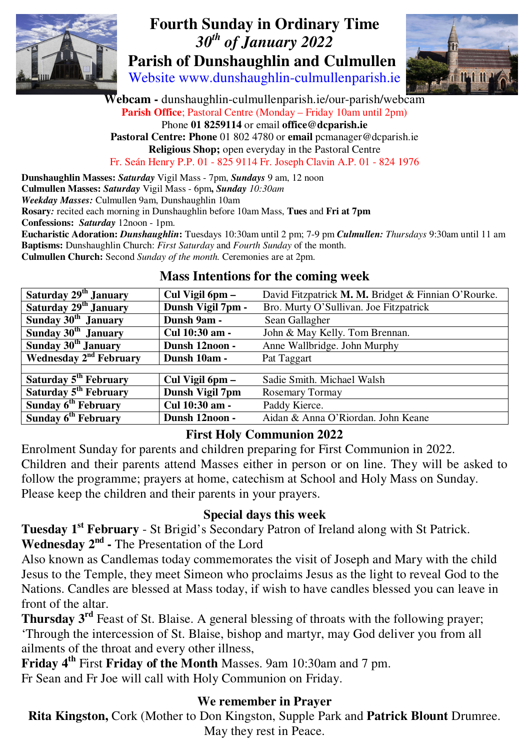

## **Fourth Sunday in Ordinary Time**   *30th of January 2022*   **Parish of Dunshaughlin and Culmullen**

Website www.dunshaughlin-culmullenparish.ie



**Webcam -** dunshaughlin-culmullenparish.ie/our-parish/webcam **Parish Office**; Pastoral Centre (Monday – Friday 10am until 2pm) Phone **01 8259114** or email **office@dcparish.ie Pastoral Centre: Phone** 01 802 4780 or **email** pcmanager@dcparish.ie **Religious Shop;** open everyday in the Pastoral Centre Fr. Seán Henry P.P. 01 - 825 9114 Fr. Joseph Clavin A.P. 01 - 824 1976

**Dunshaughlin Masses:** *Saturday* Vigil Mass - 7pm, *Sundays* 9 am, 12 noon **Culmullen Masses:** *Saturday* Vigil Mass - 6pm**,** *Sunday 10:30am Weekday Masses:* Culmullen 9am, Dunshaughlin 10am **Rosary***:* recited each morning in Dunshaughlin before 10am Mass, **Tues** and **Fri at 7pm Confessions:** *Saturday* 12noon - 1pm. **Eucharistic Adoration:** *Dunshaughlin***:** Tuesdays 10:30am until 2 pm; 7-9 pm *Culmullen: Thursdays* 9:30am until 11 am **Baptisms:** Dunshaughlin Church: *First Saturday* and *Fourth Sunday* of the month. **Culmullen Church:** Second *Sunday of the month.* Ceremonies are at 2pm.

#### **Mass Intentions for the coming week**

| Saturday 29 <sup>th</sup> January  | Cul Vigil 6pm –   | David Fitzpatrick M. M. Bridget & Finnian O'Rourke. |
|------------------------------------|-------------------|-----------------------------------------------------|
| Saturday 29 <sup>th</sup> January  | Dunsh Vigil 7pm - | Bro. Murty O'Sullivan. Joe Fitzpatrick              |
| Sunday 30 <sup>th</sup> January    | Dunsh 9am -       | Sean Gallagher                                      |
| Sunday 30 <sup>th</sup> January    | Cul 10:30 am -    | John & May Kelly. Tom Brennan.                      |
| Sunday 30 <sup>th</sup> January    | Dunsh 12noon -    | Anne Wallbridge. John Murphy                        |
| Wednesday 2 <sup>nd</sup> February | Dunsh 10am -      | Pat Taggart                                         |
|                                    |                   |                                                     |
| Saturday 5 <sup>th</sup> February  | Cul Vigil 6pm –   | Sadie Smith. Michael Walsh                          |
| Saturday 5 <sup>th</sup> February  | Dunsh Vigil 7pm   | <b>Rosemary Tormay</b>                              |
| Sunday 6 <sup>th</sup> February    | Cul 10:30 am -    | Paddy Kierce.                                       |
| Sunday 6 <sup>th</sup> February    | Dunsh 12noon -    | Aidan & Anna O'Riordan. John Keane                  |

#### **First Holy Communion 2022**

Enrolment Sunday for parents and children preparing for First Communion in 2022. Children and their parents attend Masses either in person or on line. They will be asked to follow the programme; prayers at home, catechism at School and Holy Mass on Sunday. Please keep the children and their parents in your prayers.

## **Special days this week**

**Tuesday 1<sup>st</sup>** February - St Brigid's Secondary Patron of Ireland along with St Patrick. **Wednesday 2nd -** The Presentation of the Lord

Also known as Candlemas today commemorates the visit of Joseph and Mary with the child Jesus to the Temple, they meet Simeon who proclaims Jesus as the light to reveal God to the Nations. Candles are blessed at Mass today, if wish to have candles blessed you can leave in front of the altar.

**Thursday 3rd** Feast of St. Blaise. A general blessing of throats with the following prayer;

'Through the intercession of St. Blaise, bishop and martyr, may God deliver you from all ailments of the throat and every other illness,

**Friday 4th** First **Friday of the Month** Masses. 9am 10:30am and 7 pm.

Fr Sean and Fr Joe will call with Holy Communion on Friday.

#### **We remember in Prayer**

**Rita Kingston,** Cork (Mother to Don Kingston, Supple Park and **Patrick Blount** Drumree. May they rest in Peace.